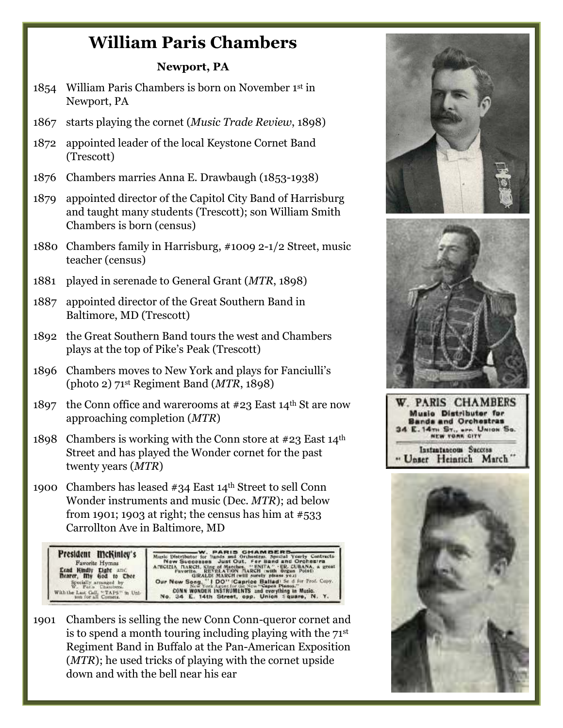## **William Paris Chambers**

## **Newport, PA**

- 1854 William Paris Chambers is born on November 1st in Newport, PA
- 1867 starts playing the cornet (*Music Trade Review*, 1898)
- 1872 appointed leader of the local Keystone Cornet Band (Trescott)
- 1876 Chambers marries Anna E. Drawbaugh (1853-1938)
- 1879 appointed director of the Capitol City Band of Harrisburg and taught many students (Trescott); son William Smith Chambers is born (census)
- 1880 Chambers family in Harrisburg, #1009 2-1/2 Street, music teacher (census)
- 1881 played in serenade to General Grant (*MTR*, 1898)
- 1887 appointed director of the Great Southern Band in Baltimore, MD (Trescott)
- 1892 the Great Southern Band tours the west and Chambers plays at the top of Pike's Peak (Trescott)
- 1896 Chambers moves to New York and plays for Fanciulli's (photo 2) 71st Regiment Band (*MTR*, 1898)
- 1897 the Conn office and warerooms at  $#23$  East 14<sup>th</sup> St are now approaching completion (*MTR*)
- 1898 Chambers is working with the Conn store at  $#23$  East  $14<sup>th</sup>$ Street and has played the Wonder cornet for the past twenty years (*MTR*)
- 1900 Chambers has leased #34 East 14th Street to sell Conn Wonder instruments and music (Dec. *MTR*); ad below from 1901; 1903 at right; the census has him at  $#533$ Carrollton Ave in Baltimore, MD



1901 Chambers is selling the new Conn Conn-queror cornet and is to spend a month touring including playing with the 71st Regiment Band in Buffalo at the Pan-American Exposition (*MTR*); he used tricks of playing with the cornet upside down and with the bell near his ear